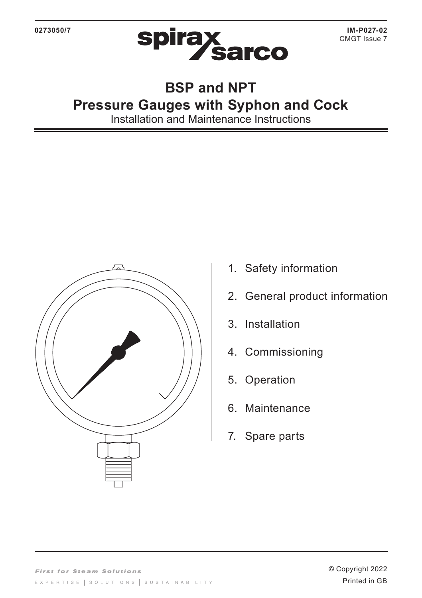

Installation and Maintenance Instructions



- 1. Safety information
- 2. General product information
- 3. Installation
- 4. Commissioning
- 5. Operation
- 6. Maintenance
- 7. Spare parts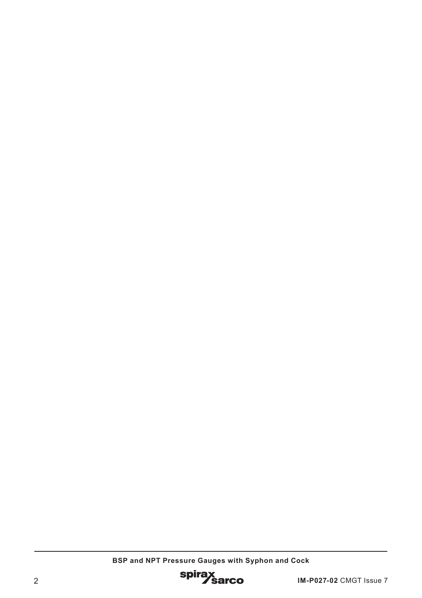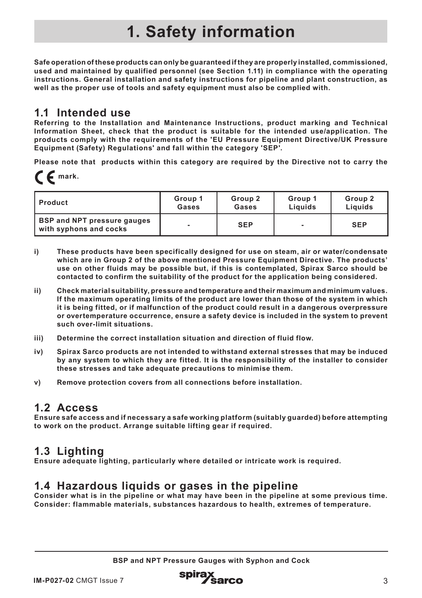# **1. Safety information**

**Safe operation of these products can only be guaranteed if they are properly installed, commissioned, used and maintained by qualified personnel (see Section 1.11) in compliance with the operating instructions. General installation and safety instructions for pipeline and plant construction, as well as the proper use of tools and safety equipment must also be complied with.**

### **1.1 Intended use**

**Referring to the Installation and Maintenance Instructions, product marking and Technical Information Sheet, check that the product is suitable for the intended use/application. The products comply with the requirements of the 'EU Pressure Equipment Directive/UK Pressure Equipment (Safety) Regulations' and fall within the category 'SEP'.** 

**Please note that products within this category are required by the Directive not to carry the**



| l Product                                             | Group 1 | Group 2    | Group 1                  | Group 2    |
|-------------------------------------------------------|---------|------------|--------------------------|------------|
|                                                       | Gases   | Gases      | Liauids                  | Liguids    |
| BSP and NPT pressure gauges<br>with syphons and cocks | ۰       | <b>SEP</b> | $\overline{\phantom{a}}$ | <b>SEP</b> |

- **i) These products have been specifically designed for use on steam, air or water/condensate which are in Group 2 of the above mentioned Pressure Equipment Directive. The products' use on other fluids may be possible but, if this is contemplated, Spirax Sarco should be contacted to confirm the suitability of the product for the application being considered.**
- **ii) Check material suitability, pressure and temperature and their maximum and minimum values. If the maximum operating limits of the product are lower than those of the system in which it is being fitted, or if malfunction of the product could result in a dangerous overpressure or overtemperature occurrence, ensure a safety device is included in the system to prevent such over-limit situations.**
- **iii) Determine the correct installation situation and direction of fluid flow.**
- **iv) Spirax Sarco products are not intended to withstand external stresses that may be induced by any system to which they are fitted. It is the responsibility of the installer to consider these stresses and take adequate precautions to minimise them.**
- **v) Remove protection covers from all connections before installation.**

### **1.2 Access**

**Ensure safe access and if necessary a safe working platform (suitably guarded) before attempting to work on the product. Arrange suitable lifting gear if required.**

### **1.3 Lighting**

**Ensure adequate lighting, particularly where detailed or intricate work is required.**

### **1.4 Hazardous liquids or gases in the pipeline**

**Consider what is in the pipeline or what may have been in the pipeline at some previous time. Consider: flammable materials, substances hazardous to health, extremes of temperature.**

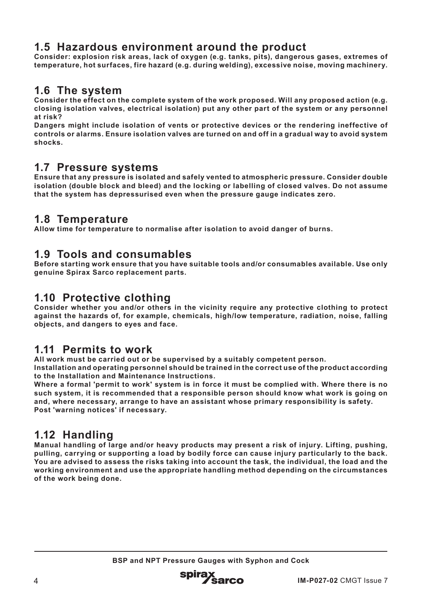### **1.5 Hazardous environment around the product**

**Consider: explosion risk areas, lack of oxygen (e.g. tanks, pits), dangerous gases, extremes of temperature, hot surfaces, fire hazard (e.g. during welding), excessive noise, moving machinery.**

### **1.6 The system**

**Consider the effect on the complete system of the work proposed. Will any proposed action (e.g. closing isolation valves, electrical isolation) put any other part of the system or any personnel at risk?** 

**Dangers might include isolation of vents or protective devices or the rendering ineffective of controls or alarms. Ensure isolation valves are turned on and off in a gradual way to avoid system shocks.**

### **1.7 Pressure systems**

**Ensure that any pressure is isolated and safely vented to atmospheric pressure. Consider double isolation (double block and bleed) and the locking or labelling of closed valves. Do not assume that the system has depressurised even when the pressure gauge indicates zero.**

### **1.8 Temperature**

**Allow time for temperature to normalise after isolation to avoid danger of burns.**

### **1.9 Tools and consumables**

**Before starting work ensure that you have suitable tools and/or consumables available. Use only genuine Spirax Sarco replacement parts.**

### **1.10 Protective clothing**

**Consider whether you and/or others in the vicinity require any protective clothing to protect against the hazards of, for example, chemicals, high/low temperature, radiation, noise, falling objects, and dangers to eyes and face.**

### **1.11 Permits to work**

**All work must be carried out or be supervised by a suitably competent person.**

**Installation and operating personnel should be trained in the correct use of the product according to the Installation and Maintenance Instructions.**

**Where a formal 'permit to work' system is in force it must be complied with. Where there is no such system, it is recommended that a responsible person should know what work is going on and, where necessary, arrange to have an assistant whose primary responsibility is safety. Post 'warning notices' if necessary.**

### **1.12 Handling**

**Manual handling of large and/or heavy products may present a risk of injury. Lifting, pushing, pulling, carrying or supporting a load by bodily force can cause injury particularly to the back. You are advised to assess the risks taking into account the task, the individual, the load and the working environment and use the appropriate handling method depending on the circumstances of the work being done.**

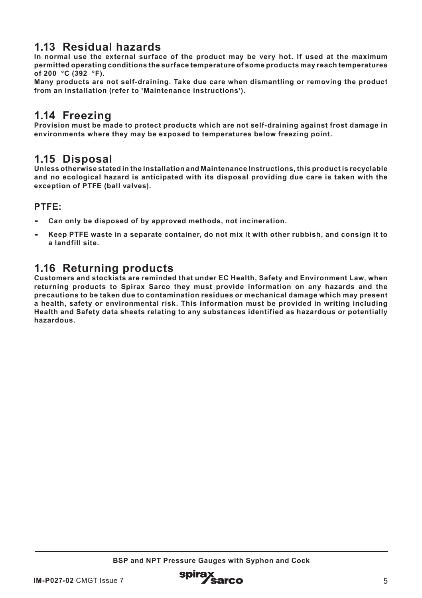### **1.13 Residual hazards**

**In normal use the external surface of the product may be very hot. If used at the maximum permitted operating conditions the surface temperature of some products may reach temperatures of 200 °C (392 °F).**

**Many products are not self-draining. Take due care when dismantling or removing the product from an installation (refer to 'Maintenance instructions').**

### **1.14 Freezing**

**Provision must be made to protect products which are not self-draining against frost damage in environments where they may be exposed to temperatures below freezing point.**

### **1.15 Disposal**

**Unless otherwise stated in the Installation and Maintenance Instructions, this product is recyclable and no ecological hazard is anticipated with its disposal providing due care is taken with the exception of PTFE (ball valves).**

#### **PTFE:**

- **Can only be disposed of by approved methods, not incineration.**
- **Keep PTFE waste in a separate container, do not mix it with other rubbish, and consign it to a landfill site.**

### **1.16 Returning products**

**Customers and stockists are reminded that under EC Health, Safety and Environment Law, when returning products to Spirax Sarco they must provide information on any hazards and the precautions to be taken due to contamination residues or mechanical damage which may present a health, safety or environmental risk. This information must be provided in writing including Health and Safety data sheets relating to any substances identified as hazardous or potentially hazardous.**

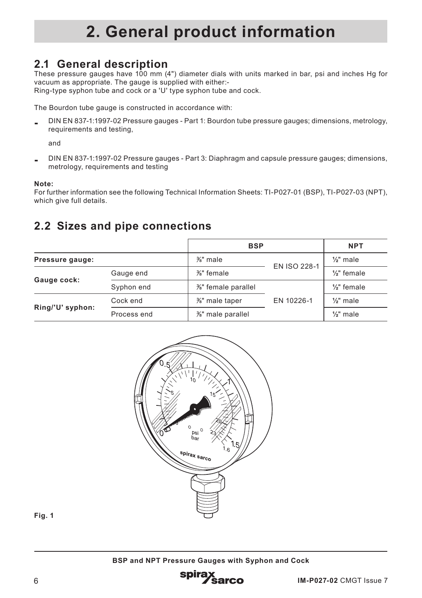## **2. General product information**

### **2.1 General description**

These pressure gauges have 100 mm (4") diameter dials with units marked in bar, psi and inches Hg for vacuum as appropriate. The gauge is supplied with either:-

Ring-type syphon tube and cock or a 'U' type syphon tube and cock.

The Bourdon tube gauge is constructed in accordance with:

**-** DIN EN 837-1:1997-02 Pressure gauges - Part 1: Bourdon tube pressure gauges; dimensions, metrology, requirements and testing,

and

**-** DIN EN 837-1:1997-02 Pressure gauges - Part 3: Diaphragm and capsule pressure gauges; dimensions, metrology, requirements and testing

#### **Note:**

For further information see the following Technical Information Sheets: TI-P027-01 (BSP), TI-P027-03 (NPT), which give full details.

### **2.2 Sizes and pipe connections**

|                  |             | <b>BSP</b>             | <b>NPT</b>   |                        |
|------------------|-------------|------------------------|--------------|------------------------|
| Pressure gauge:  |             | %" male                | EN ISO 228-1 | $\frac{1}{2}$ " male   |
| Gauge cock:      | Gauge end   | $\frac{3}{8}$ " female |              | $\frac{1}{2}$ " female |
|                  | Syphon end  | %" female parallel     |              | $\frac{1}{2}$ " female |
| Ring/'U' syphon: | Cock end    | %" male taper          | EN 10226-1   | $\frac{1}{2}$ " male   |
|                  | Process end | %" male parallel       |              | $\frac{1}{2}$ " male   |



**Fig. 1**

**BSP and NPT Pressure Gauges with Syphon and Cock**

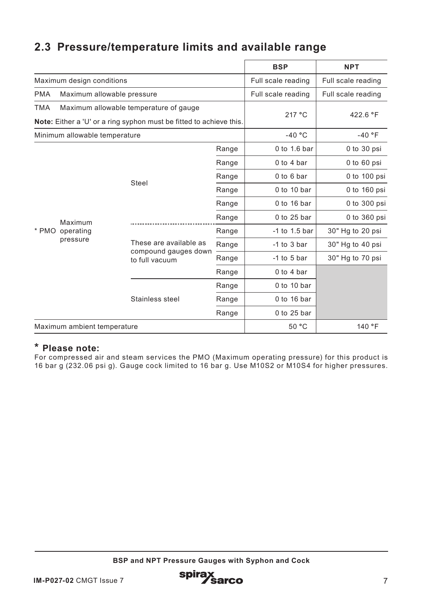### **2.3 Pressure/temperature limits and available range**

|                                                                     |                                  |                                                |                    | <b>BSP</b>         | <b>NPT</b>         |
|---------------------------------------------------------------------|----------------------------------|------------------------------------------------|--------------------|--------------------|--------------------|
| Maximum design conditions                                           |                                  |                                                | Full scale reading | Full scale reading |                    |
| <b>PMA</b>                                                          | Maximum allowable pressure       |                                                |                    | Full scale reading | Full scale reading |
| <b>TMA</b>                                                          |                                  | Maximum allowable temperature of gauge         | 217 °C             | 422.6 °F           |                    |
| Note: Either a 'U' or a ring syphon must be fitted to achieve this. |                                  |                                                |                    |                    |                    |
| Minimum allowable temperature                                       |                                  |                                                |                    | $-40 °C$           | $-40 °F$           |
| * PMO                                                               |                                  |                                                | Range              | $0$ to 1.6 bar     | $0$ to $30$ psi    |
|                                                                     | Maximum<br>operating<br>pressure |                                                | Range              | $0$ to 4 bar       | $0$ to $60$ psi    |
|                                                                     |                                  | Steel                                          | Range              | $0$ to $6$ bar     | 0 to 100 psi       |
|                                                                     |                                  |                                                | Range              | $0$ to $10$ bar    | 0 to 160 psi       |
|                                                                     |                                  |                                                | Range              | $0$ to 16 bar      | 0 to 300 psi       |
|                                                                     |                                  |                                                | Range              | $0$ to 25 bar      | 0 to 360 psi       |
|                                                                     |                                  |                                                | Range              | $-1$ to 1.5 bar    | 30" Hg to 20 psi   |
|                                                                     |                                  | These are available as<br>compound gauges down | Range              | $-1$ to 3 bar      | 30" Hg to 40 psi   |
|                                                                     |                                  | to full vacuum                                 | Range              | $-1$ to 5 bar      | 30" Hg to 70 psi   |
|                                                                     |                                  |                                                | Range              | $0$ to $4$ bar     |                    |
|                                                                     |                                  |                                                | Range              | $0$ to $10$ bar    |                    |
|                                                                     |                                  | Stainless steel                                | Range              | $0$ to 16 bar      |                    |
|                                                                     |                                  |                                                | Range              | $0$ to 25 bar      |                    |
| Maximum ambient temperature                                         |                                  |                                                | 50 °C              | 140 °F             |                    |

#### **\* Please note:**

For compressed air and steam services the PMO (Maximum operating pressure) for this product is 16 bar g (232.06 psi g). Gauge cock limited to 16 bar g. Use M10S2 or M10S4 for higher pressures.

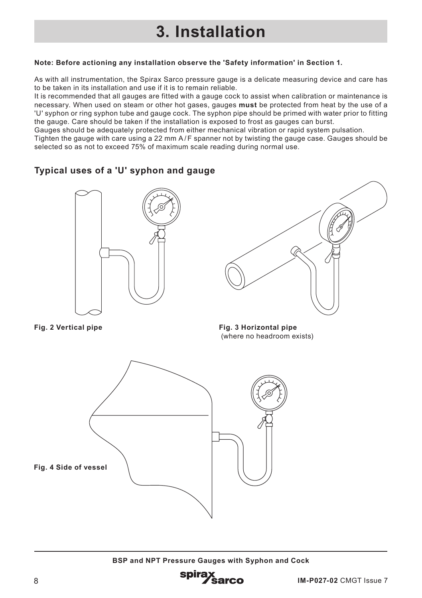# **3. Installation**

#### **Note: Before actioning any installation observe the 'Safety information' in Section 1.**

As with all instrumentation, the Spirax Sarco pressure gauge is a delicate measuring device and care has to be taken in its installation and use if it is to remain reliable.

It is recommended that all gauges are fitted with a gauge cock to assist when calibration or maintenance is necessary. When used on steam or other hot gases, gauges **must** be protected from heat by the use of a 'U' syphon or ring syphon tube and gauge cock. The syphon pipe should be primed with water prior to fitting the gauge. Care should be taken if the installation is exposed to frost as gauges can burst.

Gauges should be adequately protected from either mechanical vibration or rapid system pulsation.

Tighten the gauge with care using a 22 mm A / F spanner not by twisting the gauge case. Gauges should be selected so as not to exceed 75% of maximum scale reading during normal use.

#### **Typical uses of a 'U' syphon and gauge**





**Fig. 2 Vertical pipe Fig. 3 Horizontal pipe** (where no headroom exists)

![](_page_7_Figure_11.jpeg)

**BSP and NPT Pressure Gauges with Syphon and Cock**

![](_page_7_Picture_13.jpeg)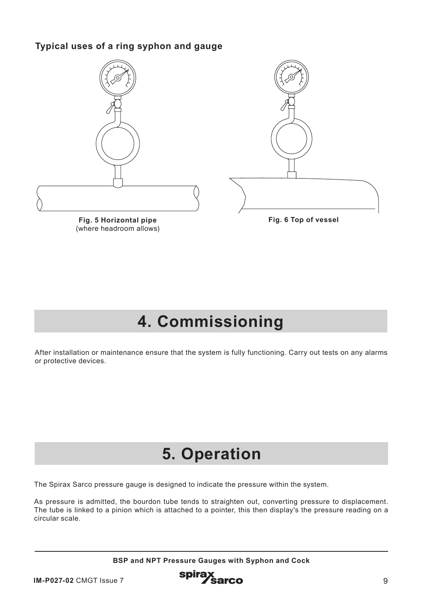#### **Typical uses of a ring syphon and gauge**

![](_page_8_Figure_1.jpeg)

# **4. Commissioning**

After installation or maintenance ensure that the system is fully functioning. Carry out tests on any alarms or protective devices.

## **5. Operation**

The Spirax Sarco pressure gauge is designed to indicate the pressure within the system.

As pressure is admitted, the bourdon tube tends to straighten out, converting pressure to displacement. The tube is linked to a pinion which is attached to a pointer, this then display's the pressure reading on a circular scale.

![](_page_8_Picture_9.jpeg)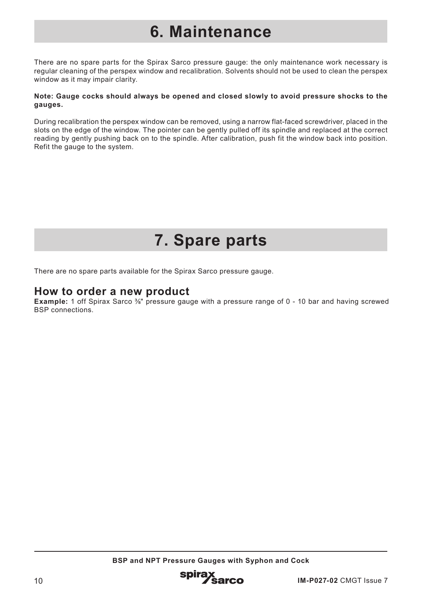# **6. Maintenance**

There are no spare parts for the Spirax Sarco pressure gauge: the only maintenance work necessary is regular cleaning of the perspex window and recalibration. Solvents should not be used to clean the perspex window as it may impair clarity.

#### **Note: Gauge cocks should always be opened and closed slowly to avoid pressure shocks to the gauges.**

During recalibration the perspex window can be removed, using a narrow flat-faced screwdriver, placed in the slots on the edge of the window. The pointer can be gently pulled off its spindle and replaced at the correct reading by gently pushing back on to the spindle. After calibration, push fit the window back into position. Refit the gauge to the system.

# **7. Spare parts**

There are no spare parts available for the Spirax Sarco pressure gauge.

#### **How to order a new product**

**Example:** 1 off Spirax Sarco <sup>3/8</sup>" pressure gauge with a pressure range of 0 - 10 bar and having screwed BSP connections.

![](_page_9_Picture_9.jpeg)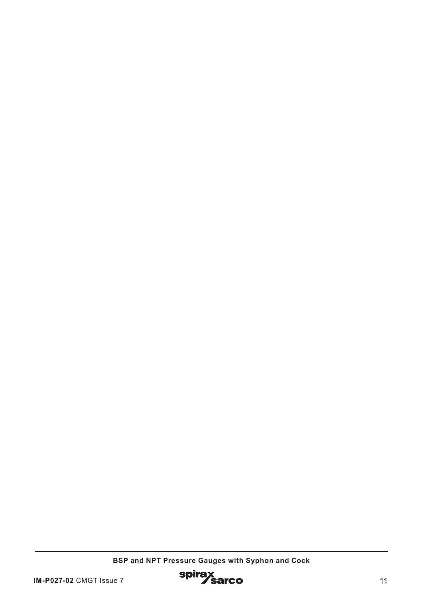![](_page_10_Picture_2.jpeg)